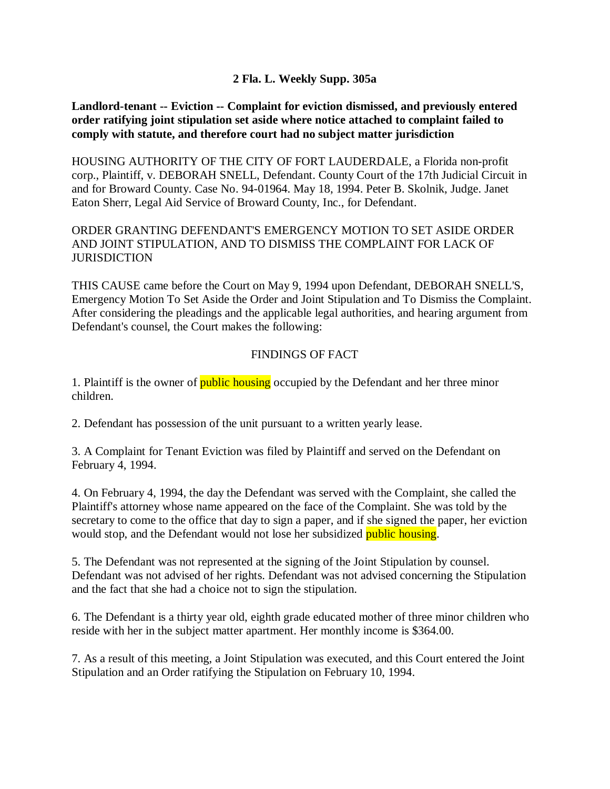## **2 Fla. L. Weekly Supp. 305a**

## **Landlord-tenant -- Eviction -- Complaint for eviction dismissed, and previously entered order ratifying joint stipulation set aside where notice attached to complaint failed to comply with statute, and therefore court had no subject matter jurisdiction**

HOUSING AUTHORITY OF THE CITY OF FORT LAUDERDALE, a Florida non-profit corp., Plaintiff, v. DEBORAH SNELL, Defendant. County Court of the 17th Judicial Circuit in and for Broward County. Case No. 94-01964. May 18, 1994. Peter B. Skolnik, Judge. Janet Eaton Sherr, Legal Aid Service of Broward County, Inc., for Defendant.

ORDER GRANTING DEFENDANT'S EMERGENCY MOTION TO SET ASIDE ORDER AND JOINT STIPULATION, AND TO DISMISS THE COMPLAINT FOR LACK OF **JURISDICTION** 

THIS CAUSE came before the Court on May 9, 1994 upon Defendant, DEBORAH SNELL'S, Emergency Motion To Set Aside the Order and Joint Stipulation and To Dismiss the Complaint. After considering the pleadings and the applicable legal authorities, and hearing argument from Defendant's counsel, the Court makes the following:

## FINDINGS OF FACT

1. Plaintiff is the owner of **public housing** occupied by the Defendant and her three minor children.

2. Defendant has possession of the unit pursuant to a written yearly lease.

3. A Complaint for Tenant Eviction was filed by Plaintiff and served on the Defendant on February 4, 1994.

4. On February 4, 1994, the day the Defendant was served with the Complaint, she called the Plaintiff's attorney whose name appeared on the face of the Complaint. She was told by the secretary to come to the office that day to sign a paper, and if she signed the paper, her eviction would stop, and the Defendant would not lose her subsidized public housing.

5. The Defendant was not represented at the signing of the Joint Stipulation by counsel. Defendant was not advised of her rights. Defendant was not advised concerning the Stipulation and the fact that she had a choice not to sign the stipulation.

6. The Defendant is a thirty year old, eighth grade educated mother of three minor children who reside with her in the subject matter apartment. Her monthly income is \$364.00.

7. As a result of this meeting, a Joint Stipulation was executed, and this Court entered the Joint Stipulation and an Order ratifying the Stipulation on February 10, 1994.